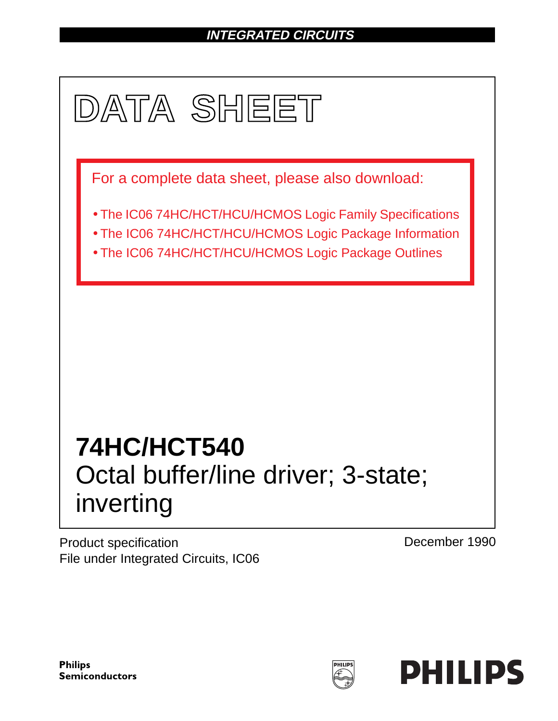# **INTEGRATED CIRCUITS**



Product specification File under Integrated Circuits, IC06 December 1990

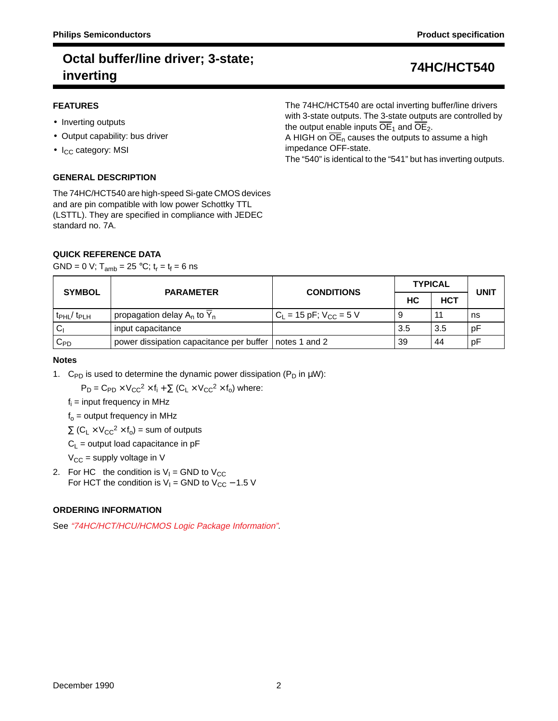The 74HC/HCT540 are octal inverting buffer/line drivers with 3-state outputs. The 3-state outputs are controlled by

A HIGH on  $\overline{OE}_n$  causes the outputs to assume a high

the output enable inputs  $\overline{OE}_1$  and  $\overline{OE}_2$ .

## **FEATURES**

- Inverting outputs
- Output capability: bus driver
- $\bullet$  I<sub>CC</sub> category: MSI

# **GENERAL DESCRIPTION**

The 74HC/HCT540 are high-speed Si-gate CMOS devices and are pin compatible with low power Schottky TTL (LSTTL). They are specified in compliance with JEDEC standard no. 7A.

## **QUICK REFERENCE DATA**

GND = 0 V;  $T_{amb}$  = 25 °C;  $t_r = t_f = 6$  ns

The "540" is identical to the "541" but has inverting outputs.

impedance OFF-state.

| <b>SYMBOL</b> | <b>PARAMETER</b>                                         | <b>CONDITIONS</b>             | <b>TYPICAL</b> | UNIT       |    |
|---------------|----------------------------------------------------------|-------------------------------|----------------|------------|----|
|               |                                                          |                               | HC.            | <b>HCT</b> |    |
| $tpHL$ $tpLH$ | propagation delay $A_n$ to $Y_n$                         | $C_L$ = 15 pF; $V_{CC}$ = 5 V | 9              | 11         | ns |
| <sub>C</sub>  | input capacitance                                        |                               | 3.5            | 3.5        | рF |
| $C_{PD}$      | power dissipation capacitance per buffer   notes 1 and 2 |                               | 39             | 44         | рF |

## **Notes**

1. C<sub>PD</sub> is used to determine the dynamic power dissipation ( $P_D$  in  $\mu W$ ):

 $P_D = C_{PD} \times V_{CC}^2 \times f_i + \sum (C_L \times V_{CC}^2 \times f_0)$  where:

 $f_i$  = input frequency in MHz

 $f<sub>o</sub>$  = output frequency in MHz

 $\Sigma$  (C<sub>L</sub> × V<sub>CC</sub><sup>2</sup> × f<sub>o</sub>) = sum of outputs

 $C_L$  = output load capacitance in pF

 $V_{CC}$  = supply voltage in V

2. For HC the condition is  $V_1$  = GND to  $V_{CC}$ For HCT the condition is  $V_1$  = GND to  $V_{CC}$  – 1.5 V

# **ORDERING INFORMATION**

See "74HC/HCT/HCU/HCMOS Logic Package Information".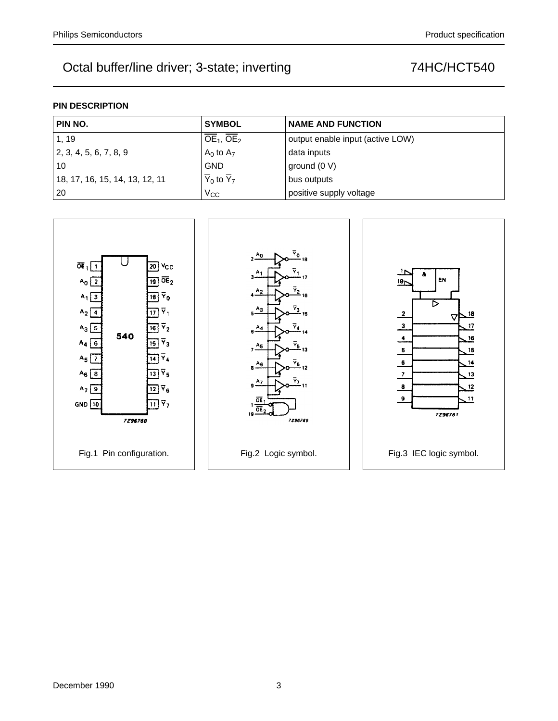# **PIN DESCRIPTION**

| PIN NO.                        | <b>SYMBOL</b>                        | <b>NAME AND FUNCTION</b>         |
|--------------------------------|--------------------------------------|----------------------------------|
| 1, 19                          | $OE1$ , $OE2$                        | output enable input (active LOW) |
| $\vert$ 2, 3, 4, 5, 6, 7, 8, 9 | $A_0$ to $A_7$                       | data inputs                      |
| 10                             | <b>GND</b>                           | ground $(0 V)$                   |
| 18, 17, 16, 15, 14, 13, 12, 11 | $\overline{Y}_0$ to $\overline{Y}_7$ | bus outputs                      |
| 20                             | $V_{CC}$                             | positive supply voltage          |

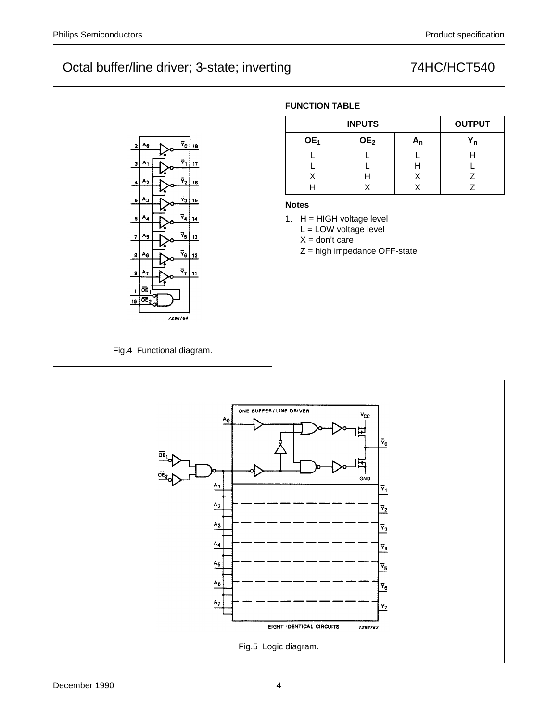

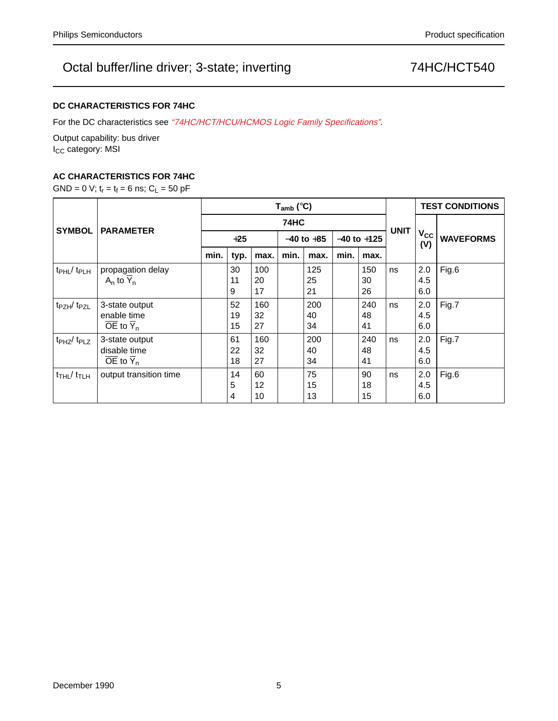# **DC CHARACTERISTICS FOR 74HC**

For the DC characteristics see "74HC/HCT/HCU/HCMOS Logic Family Specifications".

Output capability: bus driver I<sub>CC</sub> category: MSI

# **AC CHARACTERISTICS FOR 74HC**

GND = 0 V;  $t_r = t_f = 6$  ns;  $C_L = 50$  pF

|                                        |                                     | $T_{amb}$ (°C) |      |      |                |      |                 |      |             | <b>TEST CONDITIONS</b> |                  |
|----------------------------------------|-------------------------------------|----------------|------|------|----------------|------|-----------------|------|-------------|------------------------|------------------|
| <b>SYMBOL</b>                          | <b>PARAMETER</b>                    | <b>74HC</b>    |      |      |                |      |                 |      |             |                        |                  |
|                                        |                                     | $+25$          |      |      | $-40$ to $+85$ |      | $-40$ to $+125$ |      | <b>UNIT</b> | $V_{\rm CC}$<br>(V)    | <b>WAVEFORMS</b> |
|                                        |                                     | min.           | typ. | max. | min.           | max. | min.            | max. |             |                        |                  |
| $t_{\rm PHL}$ / $t_{\rm PLH}$          | propagation delay                   |                | 30   | 100  |                | 125  |                 | 150  | ns          | 2.0                    | Fig.6            |
|                                        | $A_n$ to $Y_n$                      |                | 11   | 20   |                | 25   |                 | 30   |             | 4.5                    |                  |
|                                        |                                     |                | 9    | 17   |                | 21   |                 | 26   |             | 6.0                    |                  |
| t <sub>PZH</sub> /t <sub>PZL</sub>     | 3-state output                      |                | 52   | 160  |                | 200  |                 | 240  | ns          | 2.0                    | Fig.7            |
|                                        | enable time                         |                | 19   | 32   |                | 40   |                 | 48   |             | 4.5                    |                  |
|                                        | $\overline{OE}$ to $\overline{Y}_n$ |                | 15   | 27   |                | 34   |                 | 41   |             | 6.0                    |                  |
| $tpHZ$ / $tpLZ$                        | 3-state output                      |                | 61   | 160  |                | 200  |                 | 240  | ns          | 2.0                    | Fig.7            |
|                                        | disable time                        |                | 22   | 32   |                | 40   |                 | 48   |             | 4.5                    |                  |
|                                        | $\overline{OE}$ to $\overline{Y}_n$ |                | 18   | 27   |                | 34   |                 | 41   |             | 6.0                    |                  |
| $t$ <sub>THL</sub> $/t$ <sub>TLH</sub> | output transition time              |                | 14   | 60   |                | 75   |                 | 90   | ns          | 2.0                    | Fig.6            |
|                                        |                                     |                | 5    | 12   |                | 15   |                 | 18   |             | 4.5                    |                  |
|                                        |                                     |                | 4    | 10   |                | 13   |                 | 15   |             | 6.0                    |                  |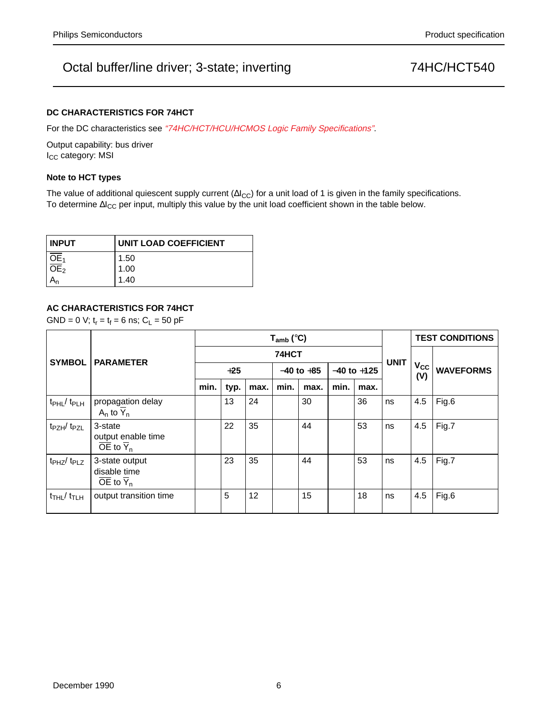## **DC CHARACTERISTICS FOR 74HCT**

For the DC characteristics see "74HC/HCT/HCU/HCMOS Logic Family Specifications".

Output capability: bus driver I<sub>CC</sub> category: MSI

### **Note to HCT types**

The value of additional quiescent supply current ( $\Delta l_{CC}$ ) for a unit load of 1 is given in the family specifications. To determine ∆I<sub>CC</sub> per input, multiply this value by the unit load coefficient shown in the table below.

| <b>INPUT</b>        | UNIT LOAD COEFFICIENT |
|---------------------|-----------------------|
|                     | 1.50                  |
| $\frac{OE_1}{OE_2}$ | 1.00                  |
|                     | 1.40                  |

## **AC CHARACTERISTICS FOR 74HCT**

GND = 0 V;  $t_r = t_f = 6$  ns;  $C_L = 50$  pF

| <b>SYMBOL</b>                          | <b>PARAMETER</b>                                                      | $T_{amb}$ (°C) |      |      |                |      |                 |      |             | <b>TEST CONDITIONS</b> |                  |  |
|----------------------------------------|-----------------------------------------------------------------------|----------------|------|------|----------------|------|-----------------|------|-------------|------------------------|------------------|--|
|                                        |                                                                       | 74HCT          |      |      |                |      |                 |      |             |                        |                  |  |
|                                        |                                                                       | $+25$          |      |      | $-40$ to $+85$ |      | $-40$ to $+125$ |      | <b>UNIT</b> | $V_{\rm CC}$<br>(V)    | <b>WAVEFORMS</b> |  |
|                                        |                                                                       | min.           | typ. | max. | min.           | max. | min.            | max. |             |                        |                  |  |
| t <sub>PHL</sub> / t <sub>PLH</sub>    | propagation delay<br>A <sub>n</sub> to $\overline{Y}_n$               |                | 13   | 24   |                | 30   |                 | 36   | ns          | 4.5                    | Fig.6            |  |
| t <sub>PZH</sub> /t <sub>PZL</sub>     | 3-state<br>output enable time<br>$\overline{OE}$ to $\overline{Y}_n$  |                | 22   | 35   |                | 44   |                 | 53   | ns          | 4.5                    | Fig.7            |  |
| $t_{PHZ}/t_{PLZ}$                      | 3-state output<br>disable time<br>$\overline{OE}$ to $\overline{Y}_n$ |                | 23   | 35   |                | 44   |                 | 53   | ns          | 4.5                    | Fig.7            |  |
| $t$ <sub>THL</sub> $/t$ <sub>TLH</sub> | output transition time                                                |                | 5    | 12   |                | 15   |                 | 18   | ns          | 4.5                    | Fig.6            |  |